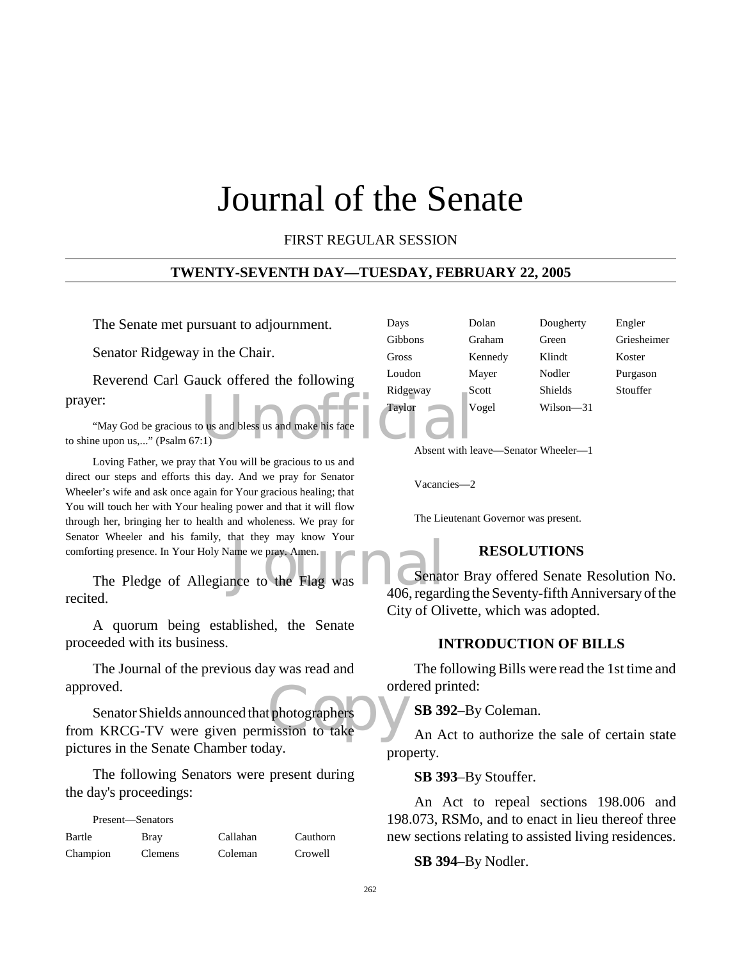# Journal of the Senate

FIRST REGULAR SESSION

#### **TWENTY-SEVENTH DAY—TUESDAY, FEBRUARY 22, 2005**

The Senate met pursuant to adjournment.

Senator Ridgeway in the Chair.

Reverend Carl Gauck offered the following prayer:

 $U(x)$  and bless us and make his face "May God be gracious to us and bless us and make his face to shine upon us,..." (Psalm 67:1)

Loving Father, we pray that You will be gracious to us and direct our steps and efforts this day. And we pray for Senator Wheeler's wife and ask once again for Your gracious healing; that You will touch her with Your healing power and that it will flow through her, bringing her to health and wholeness. We pray for Senator Wheeler and his family, that they may know Your comforting presence. In Your Holy Name we pray. Amen.

The Pledge of Allegiance to the Flag was<br>
The Pledge of Allegiance to the Flag was<br>
406 regard recited.

A quorum being established, the Senate proceeded with its business.

The Journal of the previous day was read and approved.

orde<br>
uphotographers
photographers
on
to
take
and
the take
and the take
and the take
and the take
and the take
and the take
and the take
and the take and the take and the take and the take and the take and the take and the Senator Shields announced that photographers from KRCG-TV were given permission to take pictures in the Senate Chamber today.

The following Senators were present during the day's proceedings:

| Present—Senators |                |          |          |
|------------------|----------------|----------|----------|
| Bartle           | <b>Bray</b>    | Callahan | Cauthorn |
| Champion         | <b>Clemens</b> | Coleman  | Crowell  |

| Dolan<br>Dougherty<br>Days          | Engler    |
|-------------------------------------|-----------|
| Gibbons<br>Graham<br>Green          | Grieshein |
| Gross<br>Klindt<br>Kennedy          | Koster    |
| Loudon<br>Nodler<br>Mayer           | Purgason  |
| Ridgeway<br><b>Shields</b><br>Scott | Stouffer  |
| Taylor<br>Vogel<br>Wilson—31        |           |

iesheimer

Absent with leave—Senator Wheeler—1

Vacancies—2

The Lieutenant Governor was present.

## **RESOLUTIONS**

Senator Bray offered Senate Resolution No. 406, regarding the Seventy-fifth Anniversary of the City of Olivette, which was adopted.

#### **INTRODUCTION OF BILLS**

The following Bills were read the 1st time and ordered printed:

**SB 392**–By Coleman.

An Act to authorize the sale of certain state property.

**SB 393**–By Stouffer.

An Act to repeal sections 198.006 and 198.073, RSMo, and to enact in lieu thereof three new sections relating to assisted living residences.

**SB 394**–By Nodler.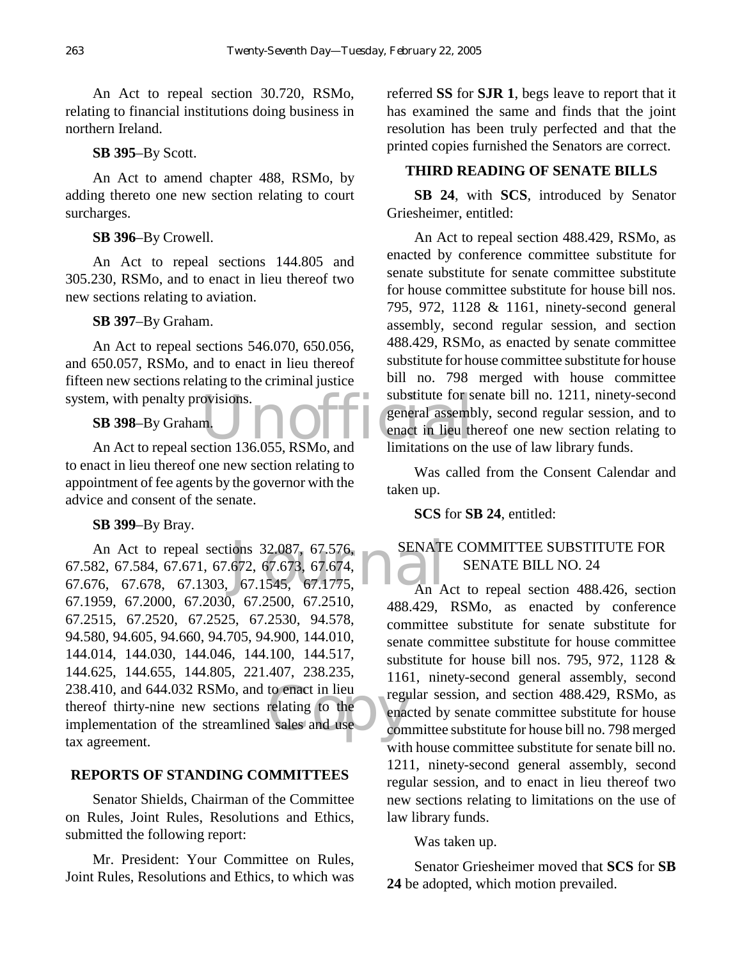An Act to repeal section 30.720, RSMo, relating to financial institutions doing business in northern Ireland.

#### **SB 395**–By Scott.

An Act to amend chapter 488, RSMo, by adding thereto one new section relating to court surcharges.

#### **SB 396**–By Crowell.

An Act to repeal sections 144.805 and 305.230, RSMo, and to enact in lieu thereof two new sections relating to aviation.

#### **SB 397**–By Graham.

An Act to repeal sections 546.070, 650.056, and 650.057, RSMo, and to enact in lieu thereof fifteen new sections relating to the criminal justice system, with penalty provisions.

#### **SB 398**–By Graham.

to enact in lieu thereof one new section relating to appointment of fee agents by the governor with the advice and consent of the senate.

#### **SB 399**–By Bray.

ions 32.087, 67.576,<br>
672, 67.673, 67.674,<br>
67.1545, 67.1775,<br>
An A to enact in lieu<br>
relating to the enaction<br>
l sales and use com An Act to repeal sections 32.087, 67.576, 67.582, 67.584, 67.671, 67.672, 67.673, 67.674, 67.676, 67.678, 67.1303, 67.1545, 67.1775, 67.1959, 67.2000, 67.2030, 67.2500, 67.2510, 67.2515, 67.2520, 67.2525, 67.2530, 94.578, 94.580, 94.605, 94.660, 94.705, 94.900, 144.010, 144.014, 144.030, 144.046, 144.100, 144.517, 144.625, 144.655, 144.805, 221.407, 238.235, 238.410, and 644.032 RSMo, and to enact in lieu thereof thirty-nine new sections relating to the implementation of the streamlined sales and use tax agreement.

#### **REPORTS OF STANDING COMMITTEES**

Senator Shields, Chairman of the Committee on Rules, Joint Rules, Resolutions and Ethics, submitted the following report:

Mr. President: Your Committee on Rules, Joint Rules, Resolutions and Ethics, to which was

referred **SS** for **SJR 1**, begs leave to report that it has examined the same and finds that the joint resolution has been truly perfected and that the printed copies furnished the Senators are correct.

#### **THIRD READING OF SENATE BILLS**

**SB 24**, with **SCS**, introduced by Senator Griesheimer, entitled:

EXECUTE: The Magnetics SB 398-By Graham.<br>
An Act to repeal section 136.055, RSMo, and limitations on the Magnetics of the Magnetics of the Magnetics SB<br>
An Act to repeal section 136.055, RSMo, and limitations on the Magnet An Act to repeal section 488.429, RSMo, as enacted by conference committee substitute for senate substitute for senate committee substitute for house committee substitute for house bill nos. 795, 972, 1128 & 1161, ninety-second general assembly, second regular session, and section 488.429, RSMo, as enacted by senate committee substitute for house committee substitute for house bill no. 798 merged with house committee substitute for senate bill no. 1211, ninety-second general assembly, second regular session, and to enact in lieu thereof one new section relating to limitations on the use of law library funds.

> Was called from the Consent Calendar and taken up.

**SCS** for **SB 24**, entitled:

# SENATE COMMITTEE SUBSTITUTE FOR SENATE BILL NO. 24

An Act to repeal section 488.426, section 488.429, RSMo, as enacted by conference committee substitute for senate substitute for senate committee substitute for house committee substitute for house bill nos. 795, 972, 1128 & 1161, ninety-second general assembly, second regular session, and section 488.429, RSMo, as enacted by senate committee substitute for house committee substitute for house bill no. 798 merged with house committee substitute for senate bill no. 1211, ninety-second general assembly, second regular session, and to enact in lieu thereof two new sections relating to limitations on the use of law library funds.

Was taken up.

Senator Griesheimer moved that **SCS** for **SB 24** be adopted, which motion prevailed.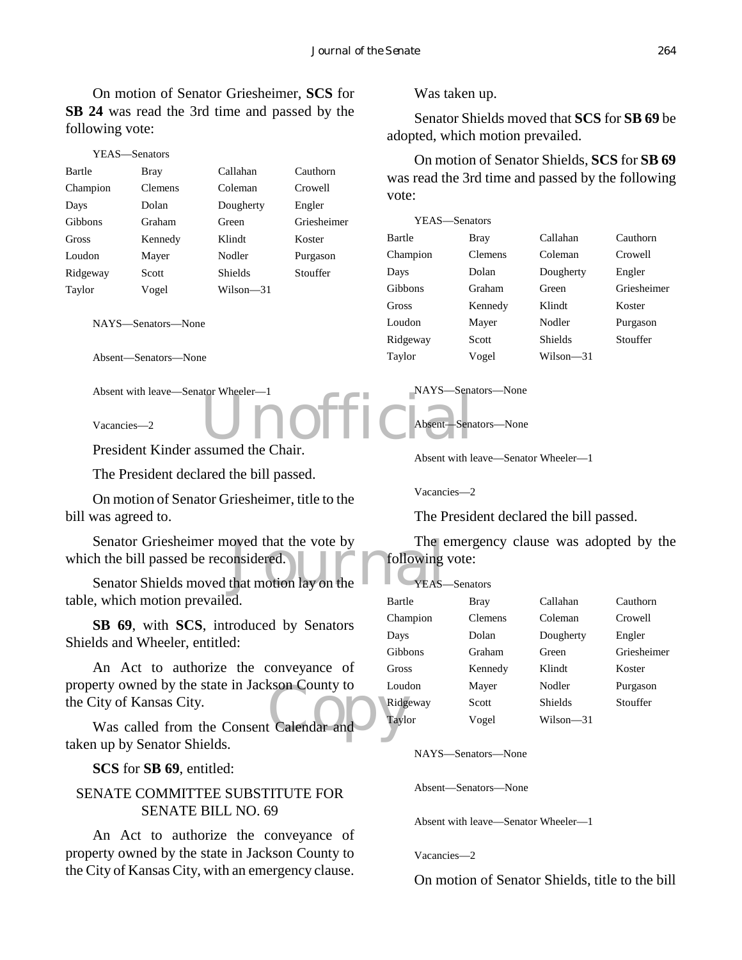On motion of Senator Griesheimer, **SCS** for **SB 24** was read the 3rd time and passed by the following vote:

| YEAS—Senators        |                |             |                                                            |                |                |                                             |
|----------------------|----------------|-------------|------------------------------------------------------------|----------------|----------------|---------------------------------------------|
| <b>Bray</b>          | Callahan       | Cauthorn    | was read the 3rd time and passed by the following<br>vote: |                |                |                                             |
| <b>Clemens</b>       | Coleman        | Crowell     |                                                            |                |                |                                             |
| Dolan                | Dougherty      | Engler      |                                                            |                |                |                                             |
| Graham               | Green          | Griesheimer |                                                            |                |                |                                             |
| Kennedy              | Klindt         | Koster      | Bartle                                                     | <b>Bray</b>    | Callahan       | Cauthorn                                    |
| Mayer                | Nodler         | Purgason    | Champion                                                   | <b>Clemens</b> | Coleman        | Crowell                                     |
| Scott                | <b>Shields</b> | Stouffer    | Days                                                       | Dolan          | Dougherty      | Engler                                      |
| Vogel                | Wilson—31      |             | Gibbons                                                    | Graham         | Green          | Griesheimer                                 |
|                      |                |             | Gross                                                      | Kennedy        | Klindt         | Koster                                      |
| NAYS—Senators—None   |                |             | Loudon                                                     | Mayer          | Nodler         | Purgason                                    |
|                      |                |             | Ridgeway                                                   | Scott          | <b>Shields</b> | Stouffer                                    |
| Absent—Senators—None |                |             | Taylor                                                     | Vogel          | Wilson-31      |                                             |
|                      |                |             |                                                            |                | YEAS—Senators  | On motion of Senator Shields, SCS for SB 69 |

Absent with leave—Senator Wheeler—1

Vacancies—2

und the Chair President Kinder assumed the Chair.

The President declared the bill passed.

On motion of Senator Griesheimer, title to the bill was agreed to.

Senator Griesheimer moved that the vote by<br>
the bill passed be reconsidered.<br>
Senator Shields moved that motion lay on the<br>
TEAS-Senator Griesheimer moved that the vote by which the bill passed be reconsidered.

table, which motion prevailed.

**SB 69**, with **SCS**, introduced by Senators Shields and Wheeler, entitled:

erty owned by the state in Jackson County to<br>City of Kansas City.<br>Was called from the Consent Calendar and Taylor An Act to authorize the conveyance of property owned by the state in Jackson County to the City of Kansas City.

taken up by Senator Shields.

**SCS** for **SB 69**, entitled:

#### SENATE COMMITTEE SUBSTITUTE FOR SENATE BILL NO. 69

An Act to authorize the conveyance of property owned by the state in Jackson County to the City of Kansas City, with an emergency clause. Was taken up.

Senator Shields moved that **SCS** for **SB 69** be adopted, which motion prevailed.

NAYS—Senators—None

Absent—Senators—None

Absent with leave—Senator Wheeler—1

Vacancies—2

The President declared the bill passed.

The emergency clause was adopted by the following vote:

| YEAS-Senators |         |                |             |
|---------------|---------|----------------|-------------|
| Bartle        | Bray    | Callahan       | Cauthorn    |
| Champion      | Clemens | Coleman        | Crowell     |
| Days          | Dolan   | Dougherty      | Engler      |
| Gibbons       | Graham  | Green          | Griesheimer |
| Gross         | Kennedy | Klindt         | Koster      |
| Loudon        | Mayer   | Nodler         | Purgason    |
| Ridgeway      | Scott   | <b>Shields</b> | Stouffer    |
| Tavlor        | Vogel   | Wilson—31      |             |

NAYS—Senators—None

Absent—Senators—None

Absent with leave—Senator Wheeler—1

Vacancies—2

On motion of Senator Shields, title to the bill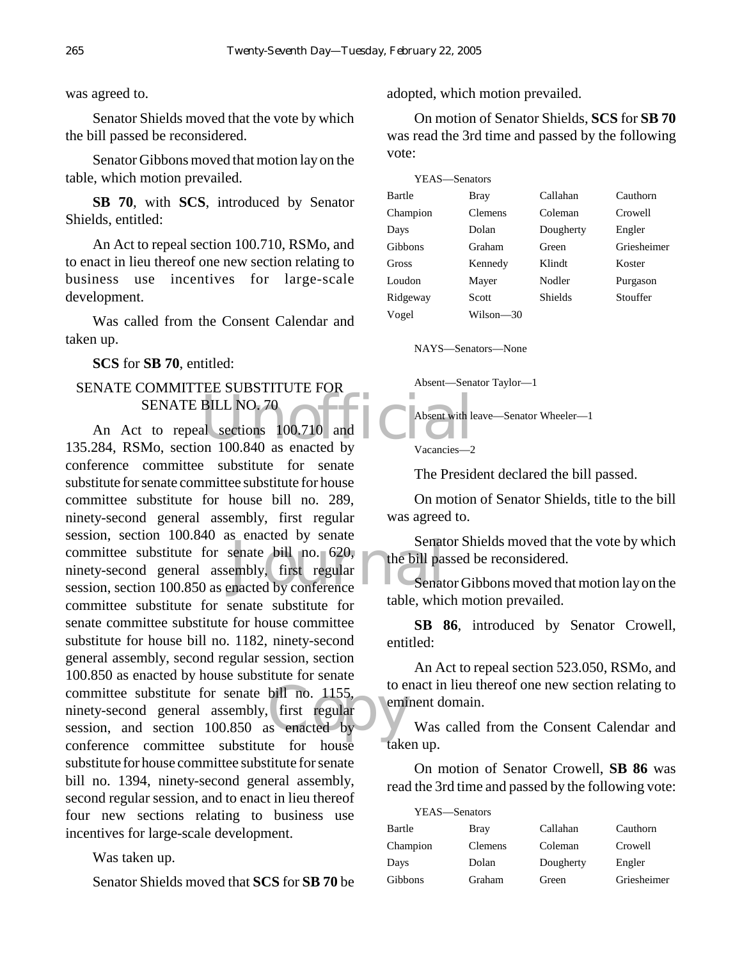was agreed to.

Senator Shields moved that the vote by which the bill passed be reconsidered.

Senator Gibbons moved that motion lay on the table, which motion prevailed.

**SB 70**, with **SCS**, introduced by Senator Shields, entitled:

An Act to repeal section 100.710, RSMo, and to enact in lieu thereof one new section relating to business use incentives for large-scale development.

Was called from the Consent Calendar and taken up.

**SCS** for **SB 70**, entitled:

## SENATE COMMITTEE SUBSTITUTE FOR SENATE BILL NO. 70

BILL NO. 70<br>al sections 100.710 and Least 2008 and the Marian Contract of the Marian Contract of the Marian Contract of the Marian Contract of the Marian Contract of the Marian Contract of the Marian Contract of the Marian Senate<br>
senate bill no. 620,<br>
embly, first regular<br>
macted by conference<br>
Senate bill no. 1155, to e<br>first regular<br>s enacted by An Act to repeal sections 100.710 and 135.284, RSMo, section 100.840 as enacted by conference committee substitute for senate substitute for senate committee substitute for house committee substitute for house bill no. 289, ninety-second general assembly, first regular session, section 100.840 as enacted by senate committee substitute for senate bill no. 620, ninety-second general assembly, first regular session, section 100.850 as enacted by conference committee substitute for senate substitute for senate committee substitute for house committee substitute for house bill no. 1182, ninety-second general assembly, second regular session, section 100.850 as enacted by house substitute for senate committee substitute for senate bill no. 1155, ninety-second general assembly, first regular session, and section 100.850 as enacted by conference committee substitute for house substitute for house committee substitute for senate bill no. 1394, ninety-second general assembly, second regular session, and to enact in lieu thereof four new sections relating to business use incentives for large-scale development.

Was taken up.

Senator Shields moved that **SCS** for **SB 70** be

adopted, which motion prevailed.

On motion of Senator Shields, **SCS** for **SB 70** was read the 3rd time and passed by the following vote:

| YEAS-Senators |           |                |             |
|---------------|-----------|----------------|-------------|
| Bartle        | Bray      | Callahan       | Cauthorn    |
| Champion      | Clemens   | Coleman        | Crowell     |
| Days          | Dolan     | Dougherty      | Engler      |
| Gibbons       | Graham    | Green          | Griesheimer |
| Gross         | Kennedy   | Klindt         | Koster      |
| Loudon        | Mayer     | Nodler         | Purgason    |
| Ridgeway      | Scott     | <b>Shields</b> | Stouffer    |
| Vogel         | Wilson—30 |                |             |
|               |           |                |             |

NAYS—Senators—None

Absent—Senator Taylor—1

Absent with leave—Senator Wheeler—1

Vacancies—2

The President declared the bill passed.

On motion of Senator Shields, title to the bill was agreed to.

Senator Shields moved that the vote by which the bill passed be reconsidered.

Senator Gibbons moved that motion lay on the table, which motion prevailed.

**SB 86**, introduced by Senator Crowell, entitled:

An Act to repeal section 523.050, RSMo, and to enact in lieu thereof one new section relating to eminent domain.

Was called from the Consent Calendar and taken up.

On motion of Senator Crowell, **SB 86** was read the 3rd time and passed by the following vote:

| YEAS-Senators |             |           |             |
|---------------|-------------|-----------|-------------|
| Bartle        | <b>Bray</b> | Callahan  | Cauthorn    |
| Champion      | Clemens     | Coleman   | Crowell     |
| Days          | Dolan       | Dougherty | Engler      |
| Gibbons       | Graham      | Green     | Griesheimer |
|               |             |           |             |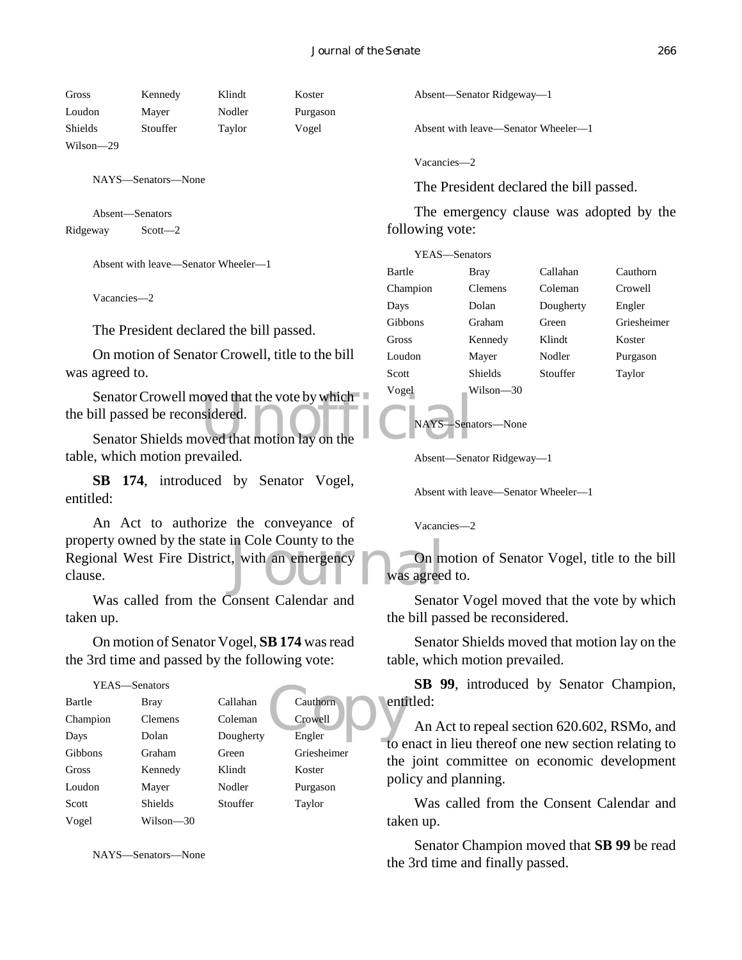Gross Kennedy Klindt Koster Loudon Mayer Nodler Purgason Shields Stouffer Taylor Vogel Wilson—29

NAYS—Senators—None

Absent—Senators Ridgeway Scott—2

Absent with leave—Senator Wheeler—1

Vacancies—2

The President declared the bill passed.

On motion of Senator Crowell, title to the bill was agreed to.

Senator Crowell moved that the vote by which<br>
Senator Shields moved that motion lay on the<br>
Senator Shields moved that motion lay on the the bill passed be reconsidered.

Senator Shields moved that motion lay on the table, which motion prevailed.

**SB 174**, introduced by Senator Vogel, entitled:

In Cole County to the<br>
L, with an emergency<br>
Was agreed An Act to authorize the conveyance of property owned by the state in Cole County to the Regional West Fire District, with an emergency clause.

Was called from the Consent Calendar and taken up.

On motion of Senator Vogel, **SB 174** was read the 3rd time and passed by the following vote:

| YEAS-Senators |                |           |             |      |
|---------------|----------------|-----------|-------------|------|
| Bartle        | Bray           | Callahan  | Cauthorn    | enti |
| Champion      | <b>Clemens</b> | Coleman   | Crowell     |      |
| Days          | Dolan          | Dougherty | Engler      | to e |
| Gibbons       | Graham         | Green     | Griesheimer | the  |
| Gross         | Kennedy        | Klindt    | Koster      |      |
| Loudon        | Mayer          | Nodler    | Purgason    | poli |
| Scott         | <b>Shields</b> | Stouffer  | Taylor      |      |
| Vogel         | Wilson—30      |           |             | take |

NAYS—Senators—None

Absent—Senator Ridgeway—1

Absent with leave—Senator Wheeler—1

Vacancies—2

The President declared the bill passed.

The emergency clause was adopted by the following vote:

| YEAS-Senators |                |           |             |
|---------------|----------------|-----------|-------------|
| Bartle        | Bray           | Callahan  | Cauthorn    |
| Champion      | <b>Clemens</b> | Coleman   | Crowell     |
| Days          | Dolan          | Dougherty | Engler      |
| Gibbons       | Graham         | Green     | Griesheimer |
| Gross         | Kennedy        | Klindt    | Koster      |
| Loudon        | Mayer          | Nodler    | Purgason    |
| Scott         | <b>Shields</b> | Stouffer  | Taylor      |
| Vogel         | Wilson—30      |           |             |

NAYS—Senators—None

Absent—Senator Ridgeway—1

Absent with leave—Senator Wheeler—1

Vacancies—2

On motion of Senator Vogel, title to the bill was agreed to.

Senator Vogel moved that the vote by which the bill passed be reconsidered.

Senator Shields moved that motion lay on the table, which motion prevailed.

**SB 99**, introduced by Senator Champion, entitled:

An Act to repeal section 620.602, RSMo, and to enact in lieu thereof one new section relating to the joint committee on economic development policy and planning.

Was called from the Consent Calendar and taken up.

Senator Champion moved that **SB 99** be read the 3rd time and finally passed.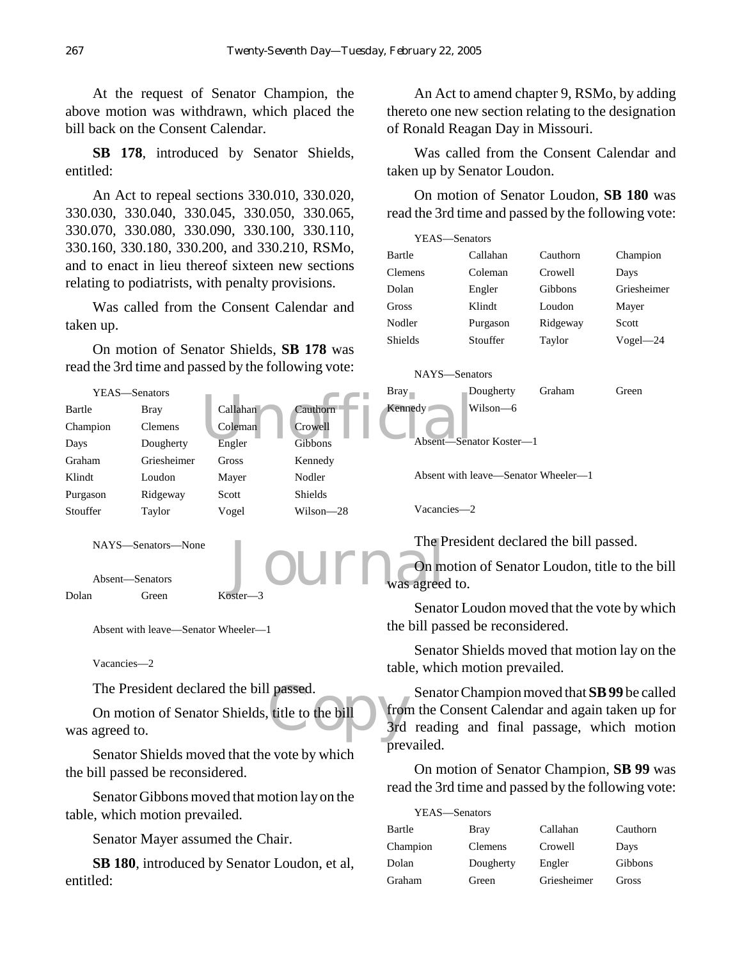At the request of Senator Champion, the above motion was withdrawn, which placed the bill back on the Consent Calendar.

**SB 178**, introduced by Senator Shields, entitled:

An Act to repeal sections 330.010, 330.020, 330.030, 330.040, 330.045, 330.050, 330.065, 330.070, 330.080, 330.090, 330.100, 330.110, 330.160, 330.180, 330.200, and 330.210, RSMo, and to enact in lieu thereof sixteen new sections relating to podiatrists, with penalty provisions.

Was called from the Consent Calendar and taken up.

On motion of Senator Shields, **SB 178** was read the 3rd time and passed by the following vote:

An Act to amend chapter 9, RSMo, by adding thereto one new section relating to the designation of Ronald Reagan Day in Missouri.

Was called from the Consent Calendar and taken up by Senator Loudon.

On motion of Senator Loudon, **SB 180** was read the 3rd time and passed by the following vote:

| YEAS-Senators |          |          |              |
|---------------|----------|----------|--------------|
| Bartle        | Callahan | Cauthorn | Champion     |
| Clemens       | Coleman  | Crowell  | Days         |
| Dolan         | Engler   | Gibbons  | Griesheimer  |
| Gross         | Klindt   | Loudon   | Mayer        |
| Nodler        | Purgason | Ridgeway | Scott        |
| Shields       | Stouffer | Taylor   | $Vogel - 24$ |
|               |          |          |              |

On motion of Senator Champion, **SB 99** was read the 3rd time and passed by the following vote:

Bartle Bray Callahan Cauthorn Champion Clemens Crowell Days Dolan Dougherty Engler Gibbons Graham Green Griesheimer Gross

YEAS—Senators



Senator Shields moved that the vote by which the bill passed be reconsidered.

Senator Gibbons moved that motion lay on the table, which motion prevailed.

Senator Mayer assumed the Chair.

**SB 180**, introduced by Senator Loudon, et al, entitled: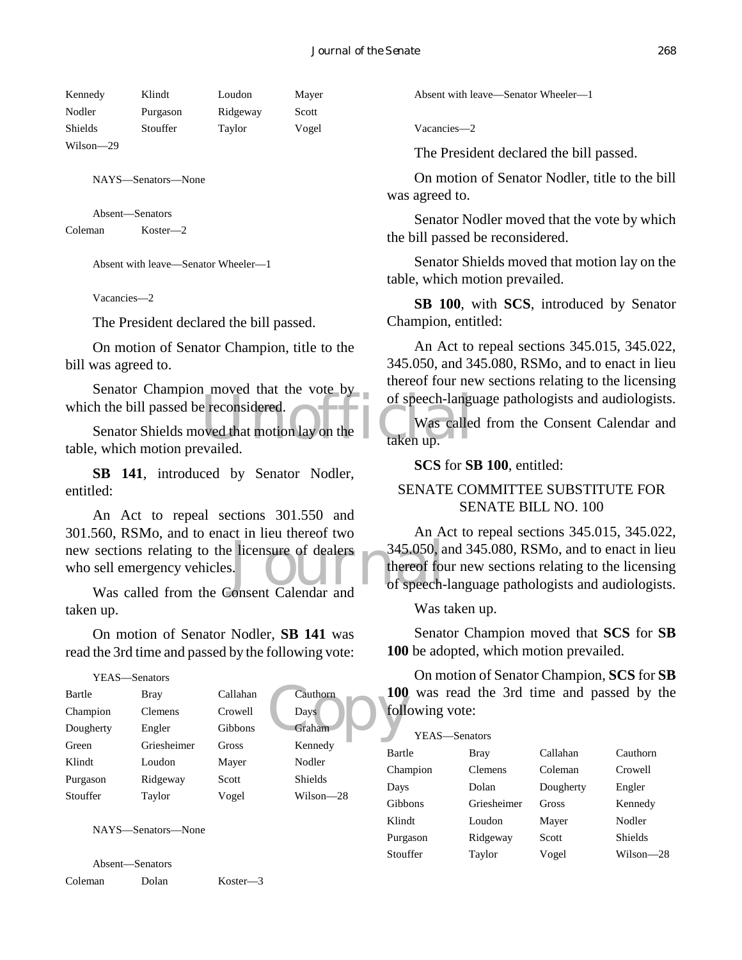| Kennedy   | Klindt   | Loudon   | Mayer |
|-----------|----------|----------|-------|
| Nodler    | Purgason | Ridgeway | Scott |
| Shields   | Stouffer | Taylor   | Vogel |
| Wilson-29 |          |          |       |

NAYS—Senators—None

Absent—Senators Coleman Koster—2

Absent with leave—Senator Wheeler—1

Vacancies—2

The President declared the bill passed.

On motion of Senator Champion, title to the bill was agreed to.

Senator Champion moved that the vote by which the bill passed be reconsidered.

e reconsidered.<br>
Example that motion lay on the the taken up. Senator Shields moved that motion lay on the table, which motion prevailed.

**SB 141**, introduced by Senator Nodler, entitled:

new sections relating to the licensure of dealers and<br>who sell emergency vehicles.<br>Was called from the Consent Calendar and An Act to repeal sections 301.550 and 301.560, RSMo, and to enact in lieu thereof two who sell emergency vehicles.

Was called from the Consent Calendar and taken up.

On motion of Senator Nodler, **SB 141** was read the 3rd time and passed by the following vote:

#### YEAS—Senators

| Bartle    | <b>Bray</b>    | Callahan | Cauthorn       | <b>100</b> |
|-----------|----------------|----------|----------------|------------|
| Champion  | <b>Clemens</b> | Crowell  | Days           | foll       |
| Dougherty | Engler         | Gibbons  | Graham         |            |
| Green     | Griesheimer    | Gross    | Kennedy        | Bartl      |
| Klindt    | Loudon         | Mayer    | Nodler         | Chan       |
| Purgason  | Ridgeway       | Scott    | <b>Shields</b> | Days       |
| Stouffer  | Taylor         | Vogel    | $Wilson-28$    | Gibb       |

NAYS—Senators—None

Absent—Senators Coleman Dolan Koster—3 Absent with leave—Senator Wheeler—1

Vacancies—2

The President declared the bill passed.

On motion of Senator Nodler, title to the bill was agreed to.

Senator Nodler moved that the vote by which the bill passed be reconsidered.

Senator Shields moved that motion lay on the table, which motion prevailed.

**SB 100**, with **SCS**, introduced by Senator Champion, entitled:

An Act to repeal sections 345.015, 345.022, 345.050, and 345.080, RSMo, and to enact in lieu thereof four new sections relating to the licensing of speech-language pathologists and audiologists.

Was called from the Consent Calendar and taken up.

**SCS** for **SB 100**, entitled:

#### SENATE COMMITTEE SUBSTITUTE FOR SENATE BILL NO. 100

An Act to repeal sections 345.015, 345.022, 345.050, and 345.080, RSMo, and to enact in lieu thereof four new sections relating to the licensing of speech-language pathologists and audiologists.

Was taken up.

Senator Champion moved that **SCS** for **SB 100** be adopted, which motion prevailed.

On motion of Senator Champion, **SCS** for **SB 100** was read the 3rd time and passed by the following vote:

| YEAS—Senators |                |           |                |
|---------------|----------------|-----------|----------------|
| Bartle        | Bray           | Callahan  | Cauthorn       |
| Champion      | <b>Clemens</b> | Coleman   | Crowell        |
| Days          | Dolan          | Dougherty | Engler         |
| Gibbons       | Griesheimer    | Gross     | Kennedy        |
| Klindt        | Loudon         | Mayer     | Nodler         |
| Purgason      | Ridgeway       | Scott     | <b>Shields</b> |
| Stouffer      | Taylor         | Vogel     | Wilson—28      |
|               |                |           |                |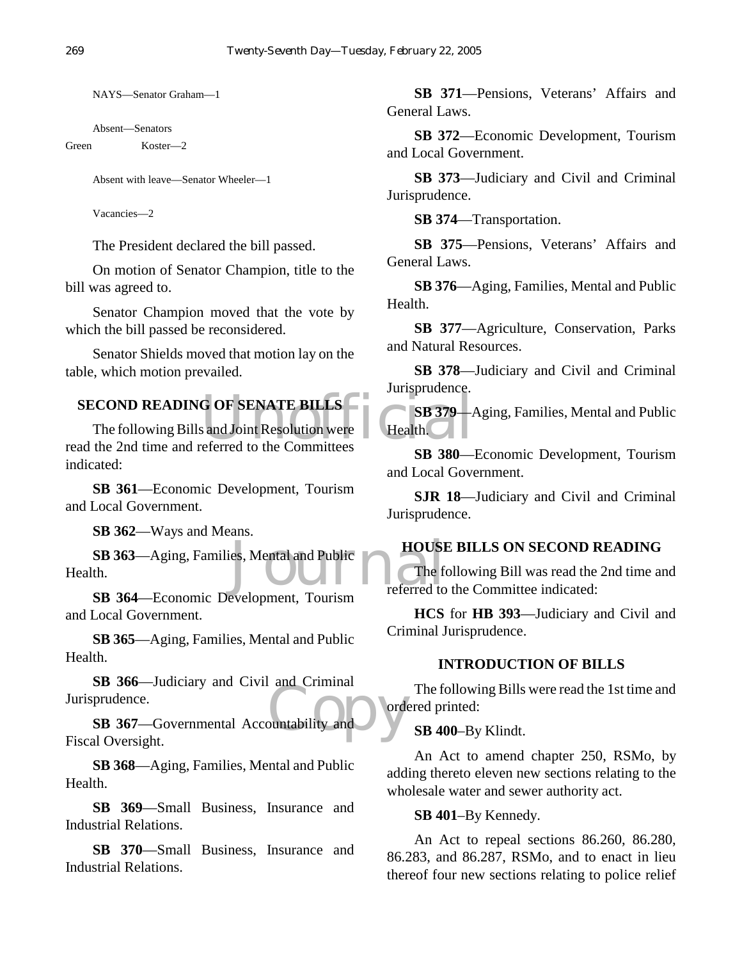NAYS—Senator Graham—1

Absent—Senators

Green Koster—2

Absent with leave—Senator Wheeler—1

Vacancies—2

The President declared the bill passed.

On motion of Senator Champion, title to the bill was agreed to.

Senator Champion moved that the vote by which the bill passed be reconsidered.

Senator Shields moved that motion lay on the table, which motion prevailed.

# **SECOND READING OF SENATE BILLS**

G OF SENATE BILLS<br>
s and Joint Resolution were Health. The following Bills and Joint Resolution were read the 2nd time and referred to the Committees indicated:

**SB 361**—Economic Development, Tourism and Local Government.

**SB 362**—Ways and Means.

Es, Mental and Public<br>The fermion **SB 363**—Aging, Families, Mental and Public Health.

**SB 364**—Economic Development, Tourism and Local Government.

**SB 365**—Aging, Families, Mental and Public Health.

**SB 366**—Judiciary and Civil and Criminal Jurisprudence.

ountability and **SB 367**—Governmental Accountability and Fiscal Oversight.

**SB 368**—Aging, Families, Mental and Public Health.

**SB 369**—Small Business, Insurance and Industrial Relations.

**SB 370**—Small Business, Insurance and Industrial Relations.

**SB 371**—Pensions, Veterans' Affairs and General Laws.

**SB 372**—Economic Development, Tourism and Local Government.

**SB 373**—Judiciary and Civil and Criminal Jurisprudence.

**SB 374**—Transportation.

**SB 375**—Pensions, Veterans' Affairs and General Laws.

**SB 376**—Aging, Families, Mental and Public Health.

**SB 377**—Agriculture, Conservation, Parks and Natural Resources.

**SB 378**—Judiciary and Civil and Criminal Jurisprudence.

**SB 379**—Aging, Families, Mental and Public Health.

**SB 380**—Economic Development, Tourism and Local Government.

**SJR 18**—Judiciary and Civil and Criminal Jurisprudence.

# **HOUSE BILLS ON SECOND READING**

The following Bill was read the 2nd time and referred to the Committee indicated:

**HCS** for **HB 393**—Judiciary and Civil and Criminal Jurisprudence.

# **INTRODUCTION OF BILLS**

The following Bills were read the 1st time and ordered printed:

# **SB 400**–By Klindt.

An Act to amend chapter 250, RSMo, by adding thereto eleven new sections relating to the wholesale water and sewer authority act.

#### **SB 401**–By Kennedy.

An Act to repeal sections 86.260, 86.280, 86.283, and 86.287, RSMo, and to enact in lieu thereof four new sections relating to police relief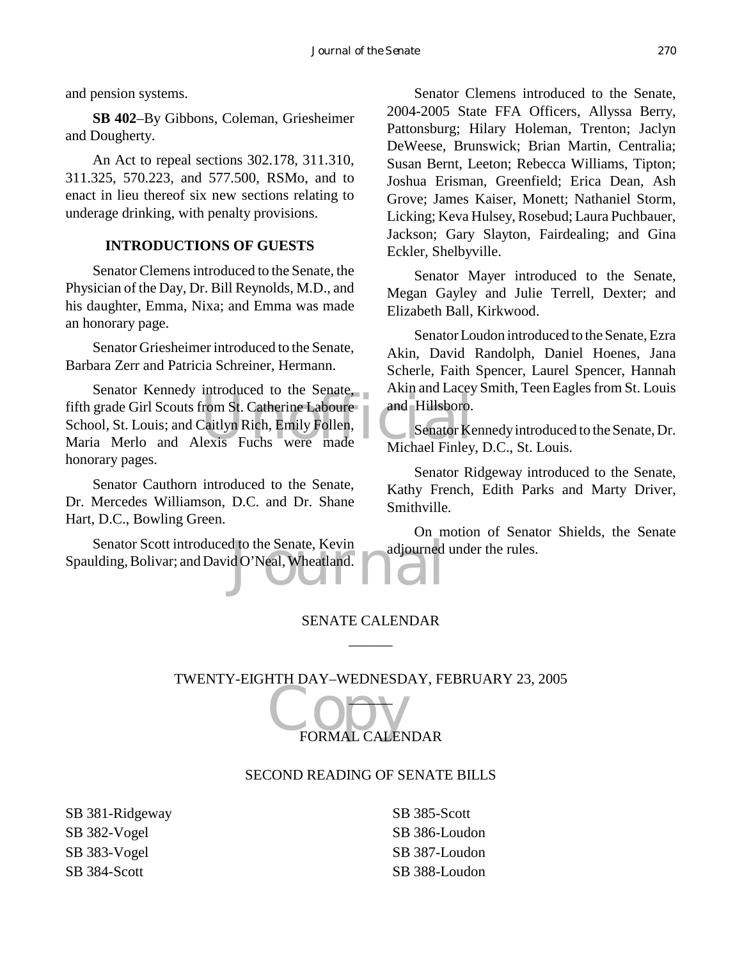and pension systems.

**SB 402**–By Gibbons, Coleman, Griesheimer and Dougherty.

An Act to repeal sections 302.178, 311.310, 311.325, 570.223, and 577.500, RSMo, and to enact in lieu thereof six new sections relating to underage drinking, with penalty provisions.

#### **INTRODUCTIONS OF GUESTS**

Senator Clemens introduced to the Senate, the Physician of the Day, Dr. Bill Reynolds, M.D., and his daughter, Emma, Nixa; and Emma was made an honorary page.

Senator Griesheimer introduced to the Senate, Barbara Zerr and Patricia Schreiner, Hermann.

From St. Catherine Laboure<br>Caitlyn Rich, Emily Follen,<br>lexis Fuchs were made Michael Finley Senator Kennedy introduced to the Senate, fifth grade Girl Scouts from St. Catherine Laboure School, St. Louis; and Caitlyn Rich, Emily Follen, Maria Merlo and Alexis Fuchs were made honorary pages.

Senator Cauthorn introduced to the Senate, Dr. Mercedes Williamson, D.C. and Dr. Shane Hart, D.C., Bowling Green.

d to the Senate, Kevin adjourned<br>d O'Neal, Wheatland. Senator Scott introduced to the Senate, Kevin Spaulding, Bolivar; and David O'Neal, Wheatland.

Senator Clemens introduced to the Senate, 2004-2005 State FFA Officers, Allyssa Berry, Pattonsburg; Hilary Holeman, Trenton; Jaclyn DeWeese, Brunswick; Brian Martin, Centralia; Susan Bernt, Leeton; Rebecca Williams, Tipton; Joshua Erisman, Greenfield; Erica Dean, Ash Grove; James Kaiser, Monett; Nathaniel Storm, Licking; Keva Hulsey, Rosebud; Laura Puchbauer, Jackson; Gary Slayton, Fairdealing; and Gina Eckler, Shelbyville.

Senator Mayer introduced to the Senate, Megan Gayley and Julie Terrell, Dexter; and Elizabeth Ball, Kirkwood.

Senator Loudon introduced to the Senate, Ezra Akin, David Randolph, Daniel Hoenes, Jana Scherle, Faith Spencer, Laurel Spencer, Hannah Akin and Lacey Smith, Teen Eagles from St. Louis and Hillsboro.

Senator Kennedy introduced to the Senate, Dr. Michael Finley, D.C., St. Louis.

Senator Ridgeway introduced to the Senate, Kathy French, Edith Parks and Marty Driver, Smithville.

On motion of Senator Shields, the Senate adjourned under the rules.

# SENATE CALENDAR  $\overline{\phantom{a}}$

TWENTY-EIGHTH DAY–WEDNESDAY, FEBRUARY 23, 2005  $\overline{\phantom{a}}$ 

# CODY FORMAL CALENDAR

#### SECOND READING OF SENATE BILLS

SB 381-Ridgeway SB 382-Vogel SB 383-Vogel SB 384-Scott

SB 385-Scott SB 386-Loudon SB 387-Loudon SB 388-Loudon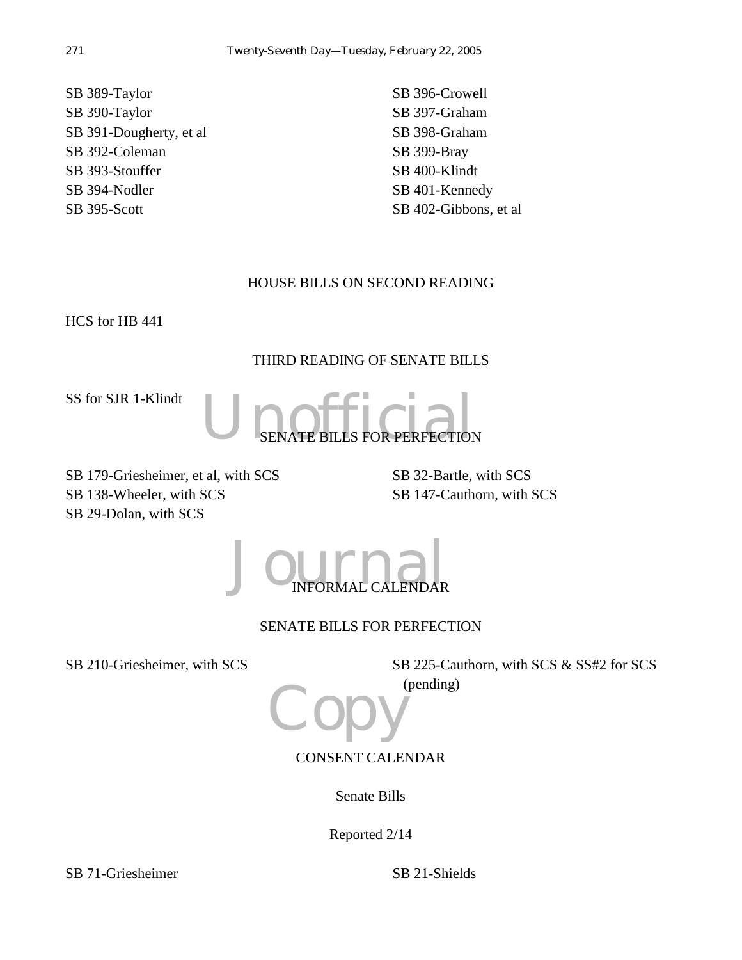SB 389-Taylor SB 390-Taylor SB 391-Dougherty, et al SB 392-Coleman SB 393-Stouffer SB 394-Nodler SB 395-Scott

SB 396-Crowell SB 397-Graham SB 398-Graham SB 399-Bray SB 400-Klindt SB 401-Kennedy SB 402-Gibbons, et al

# HOUSE BILLS ON SECOND READING

HCS for HB 441

# THIRD READING OF SENATE BILLS

SS for SJR 1-Klindt



SB 179-Griesheimer, et al, with SCS SB 138-Wheeler, with SCS SB 29-Dolan, with SCS

SB 32-Bartle, with SCS SB 147-Cauthorn, with SCS

 $J$ OUTHAL CALENDAR INFORMAL CALENDAR

# SENATE BILLS FOR PERFECTION

SB 210-Griesheimer, with SCS SSB 225-Cauthorn, with SCS & SS#2 for SCS (pending)

**Copy** CONSENT CALENDAR

Senate Bills

Reported 2/14

SB 71-Griesheimer SB 21-Shields